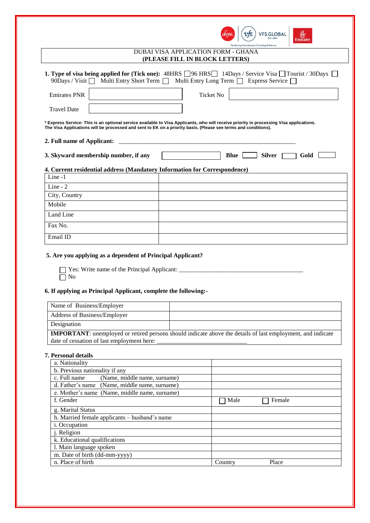|                                      |                                                                                                                                                                                                                                                                                                                                                                                                                                                                                                   |                                | <b>VFS.GLOBAL</b><br><b>EST. 2001</b><br>Partnering Governments. Providing Solutions. | 船<br><b>Emirates</b> |
|--------------------------------------|---------------------------------------------------------------------------------------------------------------------------------------------------------------------------------------------------------------------------------------------------------------------------------------------------------------------------------------------------------------------------------------------------------------------------------------------------------------------------------------------------|--------------------------------|---------------------------------------------------------------------------------------|----------------------|
|                                      | <b>DUBAI VISA APPLICATION FORM - GHANA</b>                                                                                                                                                                                                                                                                                                                                                                                                                                                        | (PLEASE FILL IN BLOCK LETTERS) |                                                                                       |                      |
|                                      | <b>1. Type of visa being applied for (Tick one):</b> 48HRS $\Box$ 96 HRS $\Box$ 14Days / Service Visa $\Box$ Tourist / 30Days $\Box$<br>$90$ Days / Visit $\Box$ Multi Entry Short Term $\Box$ Multi Entry Long Term $\Box$ Express Service $\Box$                                                                                                                                                                                                                                                |                                |                                                                                       |                      |
| <b>Emirates PNR</b>                  |                                                                                                                                                                                                                                                                                                                                                                                                                                                                                                   | <b>Ticket No</b>               |                                                                                       |                      |
| <b>Travel Date</b>                   |                                                                                                                                                                                                                                                                                                                                                                                                                                                                                                   |                                |                                                                                       |                      |
| 2. Full name of Applicant:           | * Express Service: This is an optional service available to Visa Applicants, who will receive priority in processing Visa applications.<br>The Visa Applications will be processed and sent to EK on a priority basis. (Please see terms and conditions).<br><u> 1980 - Jan Barnett, mars ann an t-Amhraich ann an t-Amhraich ann an t-Amhraich ann an t-Amhraich ann an t-Amhraich ann an t-Amhraich ann an t-Amhraich ann an t-Amhraich ann an t-Amhraich ann an t-Amhraich ann an t-Amhrai</u> |                                |                                                                                       |                      |
| 3. Skyward membership number, if any |                                                                                                                                                                                                                                                                                                                                                                                                                                                                                                   |                                | <b>Silver</b><br>Blue                                                                 | Gold                 |
| Line -1                              | 4. Current residential address (Mandatory Information for Correspondence)                                                                                                                                                                                                                                                                                                                                                                                                                         |                                |                                                                                       |                      |
| Line - $2$                           |                                                                                                                                                                                                                                                                                                                                                                                                                                                                                                   |                                |                                                                                       |                      |
| City, Country                        |                                                                                                                                                                                                                                                                                                                                                                                                                                                                                                   |                                |                                                                                       |                      |
| Mobile                               |                                                                                                                                                                                                                                                                                                                                                                                                                                                                                                   |                                |                                                                                       |                      |
| Land Line                            |                                                                                                                                                                                                                                                                                                                                                                                                                                                                                                   |                                |                                                                                       |                      |
| Fax No.                              |                                                                                                                                                                                                                                                                                                                                                                                                                                                                                                   |                                |                                                                                       |                      |
| Email ID                             |                                                                                                                                                                                                                                                                                                                                                                                                                                                                                                   |                                |                                                                                       |                      |
|                                      | 5. Are you applying as a dependent of Principal Applicant?<br>Yes: Write name of the Principal Applicant:                                                                                                                                                                                                                                                                                                                                                                                         |                                |                                                                                       |                      |

No No

# **6. If applying as Principal Applicant, complete the following:-**

| Name of Business/Employer                                                                                          |  |  |
|--------------------------------------------------------------------------------------------------------------------|--|--|
| Address of Business/Employer                                                                                       |  |  |
| Designation                                                                                                        |  |  |
| <b>IMPORTANT:</b> unemployed or retired persons should indicate above the details of last employment, and indicate |  |  |
| date of cessation of last employment here:                                                                         |  |  |

#### **7. Personal details**

| a. Nationality                                |                  |
|-----------------------------------------------|------------------|
| b. Previous nationality if any                |                  |
| c. Full name<br>(Name, middle name, surname)  |                  |
| d. Father's name (Name, middle name, surname) |                  |
| e. Mother's name (Name, middle name, surname) |                  |
| f. Gender                                     | Male<br>Female   |
| g. Marital Status                             |                  |
| h. Married female applicants - husband's name |                  |
| <i>i</i> . Occupation                         |                  |
| <i>i</i> . Religion                           |                  |
| k. Educational qualifications                 |                  |
| 1. Main language spoken                       |                  |
| m. Date of birth (dd-mm-yyyy)                 |                  |
| n. Place of birth                             | Place<br>Country |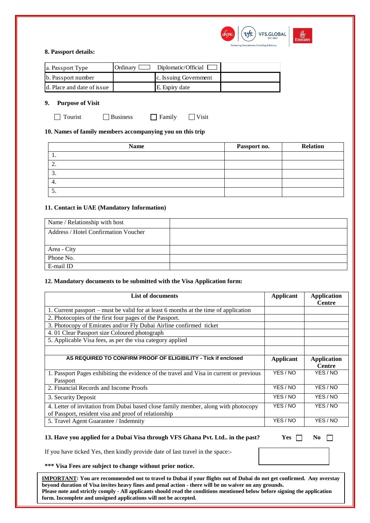

#### **8. Passport details:**

| a. Passport Type           | Ordinary $\Box$ | Diplomatic/Official   |  |
|----------------------------|-----------------|-----------------------|--|
| b. Passport number         |                 | c. Issuing Government |  |
| d. Place and date of issue |                 | E. Expiry date        |  |

## **9. Purpose of Visit**

Tourist Business Family Visit

# **10. Names of family members accompanying you on this trip**

| <b>Name</b> | Passport no. | <b>Relation</b> |
|-------------|--------------|-----------------|
|             |              |                 |
| <u>.</u>    |              |                 |
|             |              |                 |
| 4.          |              |                 |
| <u>.</u>    |              |                 |

## **11. Contact in UAE (Mandatory Information)**

| Name / Relationship with host               |  |
|---------------------------------------------|--|
| <b>Address / Hotel Confirmation Voucher</b> |  |
|                                             |  |
| Area - City                                 |  |
| Phone No.                                   |  |
| E-mail ID                                   |  |

## **12. Mandatory documents to be submitted with the Visa Application form:**

| <b>List of documents</b>                                                                                                                   | <b>Applicant</b> | <b>Application</b><br><b>Centre</b> |
|--------------------------------------------------------------------------------------------------------------------------------------------|------------------|-------------------------------------|
| 1. Current passport – must be valid for at least 6 months at the time of application                                                       |                  |                                     |
| 2. Photocopies of the first four pages of the Passport.                                                                                    |                  |                                     |
| 3. Photocopy of Emirates and/or Fly Dubai Airline confirmed ticket                                                                         |                  |                                     |
| 4.01 Clear Passport size Coloured photograph                                                                                               |                  |                                     |
| 5. Applicable Visa fees, as per the visa category applied                                                                                  |                  |                                     |
|                                                                                                                                            |                  |                                     |
| AS REQUIRED TO CONFIRM PROOF OF ELIGIBILITY - Tick if enclosed                                                                             | Applicant        | <b>Application</b><br><b>Centre</b> |
| 1. Passport Pages exhibiting the evidence of the travel and Visa in current or previous<br>Passport                                        | YES / NO         | YES / NO                            |
| 2. Financial Records and Income Proofs                                                                                                     | YES / NO         | YES / NO                            |
| 3. Security Deposit                                                                                                                        | YES / NO         | YES / NO                            |
| 4. Letter of invitation from Dubai based close family member, along with photocopy<br>of Passport, resident visa and proof of relationship | YES / NO         | YES / NO                            |
| 5. Travel Agent Guarantee / Indemnity                                                                                                      | YES / NO         | YES / NO                            |

13. Have you applied for a Dubai Visa through VFS Ghana Pvt. Ltd.. in the past? Yes  $\Box$  No  $\Box$ 

If you have ticked Yes, then kindly provide date of last travel in the space:-

**\*\*\* Visa Fees are subject to change without prior notice.** 

**IMPORTANT: You are recommended not to travel to Dubai if your flights out of Dubai do not get confirmed. Any overstay beyond duration of Visa invites heavy fines and penal action - there will be no waiver on any grounds. Please note and strictly comply - All applicants should read the conditions mentioned below before signing the application form. Incomplete and unsigned applications will not be accepted.**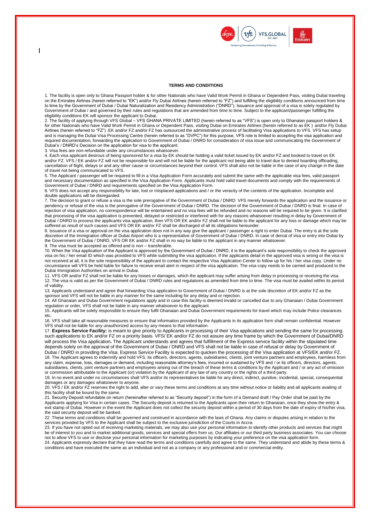

#### **TERMS AND CONDITIONS**

1. The facility is open only to Ghana Passport holder & for other Nationals who have Valid Work Permit in Ghana or Dependent Pass, visiting Dubai traveling on the Emirates Airlines (herein referred to "EK") and/or Fly Dubai Airlines (herein referred to "FZ") and fulfilling the eligibility conditions announced from time to time by the Government of Dubai / Dubai Naturalization and Residency Administration ("DNRD"). Issuance and approval of a visa is solely regulated by Government of Dubai / and governed by their rules and regulations that are amended from time to time. Subject to the applicant/passenger fulfilling the eligibility conditions EK will sponsor the applicant to Dubai.

2. The facility of applying through VFS Global – VFS GHANA PRIVATE LIMITED (herein referred to as "VFS") is open only to Ghanaian passport holders & for other Nationals who have Valid Work Permit in Ghana or Dependent Pass, visiting Dubai on Emirates Airlines (herein referred to as EK ) and/or Fly Dubai Airlines (herein referred to "FZ") .EK and/or FZ and/or FZ has outsourced the administrative process of facilitating Visa applications to VFS. VFS has setup and is managing the Dubai Visa Processing Centre (herein referred to as "DVPC") for this purpose. VFS role is limited to accepting the visa application and required documentation, forwarding the application to Government of Dubai / DNRD for consideration of visa issue and communicating the Government of Dubai's / DNRD's Decision on the application for visa to the applicant.

3. Visa fees are non-refundable under any circumstances whatsoever.

 $\overline{\phantom{a}}$ 

4. Each visa applicant desirous of being sponsored for a visa by EK should be holding a valid ticket issued by EK and/or FZ and booked to travel on EK and/or FZ. VFS / EK and/or FZ will not be responsible for and will not be liable for the applicant not being able to travel due to denied boarding offloading, cancellation of flight, delays or and any other cause or circumstances beyond their control. VFS shall also not be liable in the case of any change in the date of travel not being communicated to VFS.

5. The Applicant / passenger will be required to fill in a Visa Application Form accurately and submit the same with the applicable visa fees, valid passport and necessary documentation as specified in the Visa Application Form. Applicants must hold valid travel documents and comply with the requirements of Government of Dubai / DNRD and requirements specified on the Visa Application Form.

6. VFS does not accept any responsibility for late, lost or misplaced applications and / or the veracity of the contents of the application. Incomplete and double applications will be disregarded.

7. The decision to grant or refuse a visa is the sole prerogative of the Government of Dubai / DNRD. VFS merely forwards the application and the issuance or pendency or refusal of the visa is the prerogative of the Government of Dubai / DNRD. The decision of the Government of Dubai / DNRD is final. In case of rejection of visa application, no correspondence will be entertained and no visa fees will be refunded and no reasons will be required to be given. It is clarified that processing of the visa application is prevented, delayed or restricted or interfered with for any reasons whatsoever resulting in delay by Government of Dubai / DNRD to process the applicants visa application, then VFS OR EK and/or FZ shall not be liable to the applicant for any loss or damage which may be suffered as result of such causes and VFS OR EK and/or FZ shall be discharged of all its obligations hereunder.

8. Issuance of a visa or approval on the visa application does not in any way give the applicant / passenger a right to enter Dubai. The entry is at the sole discretion of the Immigration officer at Dubai Airport who is a representative of Government of Dubai / DNRD. In case of denial of visa or entry into Dubai by the Government of Dubai / DNRD, VFS OR EK and/or FZ shall in no way be liable to the applicant in any manner whatsoever. 9. The visa must be accepted as offered and is non – transferable.

10. When the Visa application of the Applicant is approved by the Government of Dubai / DNRD, it is the applicant's sole responsibility to check the approved visa on his / her email ID which was provided to VFS while submitting the visa application. If the applicants detail in the approved visa is wrong or the visa is not received at all, it is the sole responsibility of the applicant to contact the respective Visa Application Center to follow up for his / her visa copy. Under no circumstance will VFS be held liable for failure to receive email alert in respect of the visa application. The visa copy needs to be carried and produced to the Dubai Immigration Authorities on arrival in Dubai.

11. VFS OR and/or FZ shall not be liable for any losses or damages, which the applicant may suffer arising from delay in processing or receiving the visa. 12. The visa is valid as per the Government of Dubai / DNRD rules and regulations as amended from time to time. The visa must be availed within its period of validity.

13. Applicants understand and agree that forwarding Visa application to Government of Dubai / DNRD is at the sole discretion of EK and/or FZ as the sponsor and VFS will not be liable in any manner for the same including for any delay and or rejection.

14. All Ghanaian and Dubai Government regulations apply and in case this facility is deemed invalid or cancelled due to any Ghanaian / Dubai Government regulation or order, VFS shall not be liable in any manner whatsoever to the applicant.

15. Applicants will be solely responsible to ensure they fulfil Ghanaian and Dubai Government requirements for travel which may include Police clearances etc.

16. VFS shall take all reasonable measures to ensure that information provided by the Applicants in its application form shall remain confidential. However VFS shall not be liable for any unauthorized access by any means to that information.

17. **Express Service Facility:** is meant to give priority to Applicants in processing of their Visa applications and sending the same for processing such applications to EK and/or FZ on a priority basis. VFS/ EK and/or FZ do not assure any time frame by which the Government of Dubai/DNRD will process the Visa application**.** The Applicant understands and agrees that fulfillment of the Express service facility within the stipulated time depends solely on the approval of the Government of Dubai / DNRD and VFS shall not be liable in case of refusal or delay by Government of Dubai / DNRD in providing the Visa. Express Service Facility is expected to quicken the processing of the Visa application at VFS/EK and/or FZ. 18. The Applicant agrees to indemnify and hold VFS, its officers, directors, agents, subsidiaries, clients, joint venture partners and employees, harmless from any claim, expense, loss, damages or demand, including reasonable attorney's fees, incurred or sustained by VFS and / or its officers, directors, agents, subsidiaries, clients, joint venture partners and employees arising out of the breach of these terms & conditions by the Applicant and / or any act of omission or commission attributable to the Applicant (or) violation by the Applicant of any law of any country or the rights of a third party.

19. In no event and under no circumstances shall VFS and/or its representatives be liable for any direct, indirect, punitive, incidental, special, consequential damages or any damages whatsoever to anyone.

20. VFS / EK and/or FZ reserves the right to add, alter or vary these terms and conditions at any time without notice or liability and all applicants availing of this facility shall be bound by the same.

21. Security Deposit refundable on return (hereinafter referred to as "Security deposit") in the form of a Demand draft / Pay Order shall be paid by the Applicants applying for Visa in certain cases. The Security deposit is returned to the Applicants upon their return to Ghanaian, once they show the entry & exit stamp of Dubai. However in the event the Applicant does not collect the security deposit within a period of 30 days from the date of expiry of his/her visa, the said security deposit will be banked.

22. These terms and conditions shall be governed and construed in accordance with the laws of Ghana. Any claims or disputes arising in relation to the services provided by VFS to the Applicant shall be subject to the exclusive jurisdiction of the Courts in Accra.

23. If you have not opted out of receiving marketing materials, we may also use your personal information to identify other products and services that might be of interest to you and to market additional goods, services and special offers from us. Our affiliates or our third party business associates. You can choose not to allow VFS to use or disclose your personal information for marketing purposes by indicating your preference on the visa application form.

24. Applicants expressly declare that they have read the terms and conditions carefully and agree to the same. They understand and abide by these terms & conditions and have executed the same as an individual and not as a company or any professional and or commercial entity.